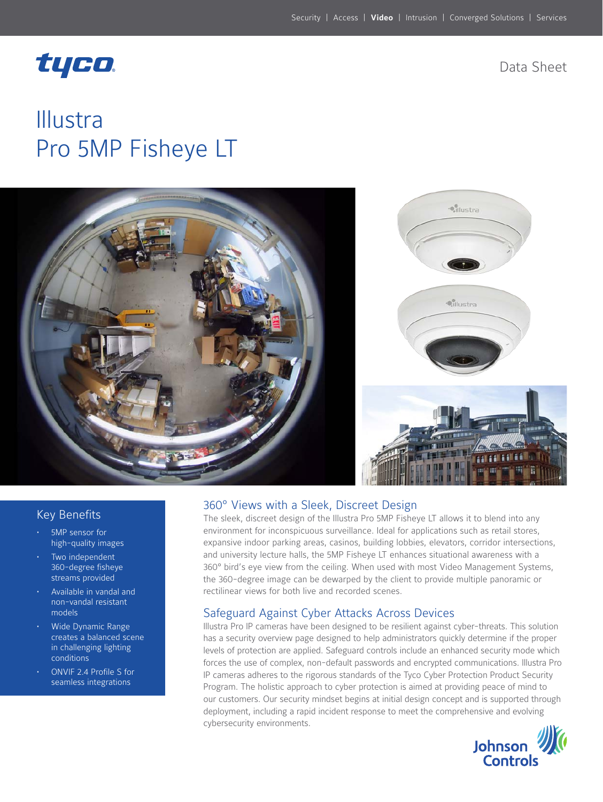## tyco.

Data Sheet

# Illustra Pro 5MP Fisheye LT



#### 360° Views with a Sleek, Discreet Design

The sleek, discreet design of the Illustra Pro 5MP Fisheye LT allows it to blend into any environment for inconspicuous surveillance. Ideal for applications such as retail stores, expansive indoor parking areas, casinos, building lobbies, elevators, corridor intersections, and university lecture halls, the 5MP Fisheye LT enhances situational awareness with a 360° bird's eye view from the ceiling. When used with most Video Management Systems, the 360-degree image can be dewarped by the client to provide multiple panoramic or rectilinear views for both live and recorded scenes.

#### Safeguard Against Cyber Attacks Across Devices

Illustra Pro IP cameras have been designed to be resilient against cyber-threats. This solution has a security overview page designed to help administrators quickly determine if the proper levels of protection are applied. Safeguard controls include an enhanced security mode which forces the use of complex, non-default passwords and encrypted communications. Illustra Pro IP cameras adheres to the rigorous standards of the Tyco Cyber Protection Product Security Program. The holistic approach to cyber protection is aimed at providing peace of mind to our customers. Our security mindset begins at initial design concept and is supported through deployment, including a rapid incident response to meet the comprehensive and evolving cybersecurity environments.



### Key Benefits

- 5MP sensor for high-quality images
- Two independent 360-degree fisheye streams provided
- Available in vandal and non-vandal resistant models
- Wide Dynamic Range creates a balanced scene in challenging lighting conditions
- ONVIF 2.4 Profile S for seamless integrations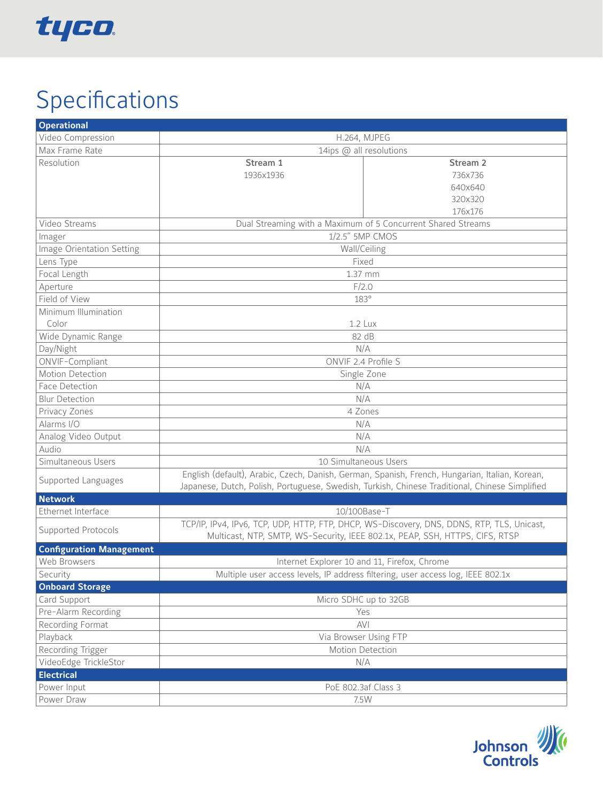

# Specifications

| <b>Operational</b>              |                                                                                                                                                                                                  |                     |  |
|---------------------------------|--------------------------------------------------------------------------------------------------------------------------------------------------------------------------------------------------|---------------------|--|
| Video Compression               | <b>H.264, MJPEG</b>                                                                                                                                                                              |                     |  |
| Max Frame Rate                  | 14ips @ all resolutions                                                                                                                                                                          |                     |  |
| Resolution                      | Stream 1                                                                                                                                                                                         | Stream <sub>2</sub> |  |
|                                 | 1936x1936                                                                                                                                                                                        | 736x736             |  |
|                                 |                                                                                                                                                                                                  | 640x640             |  |
|                                 |                                                                                                                                                                                                  | 320x320             |  |
|                                 |                                                                                                                                                                                                  | 176x176             |  |
| Video Streams                   | Dual Streaming with a Maximum of 5 Concurrent Shared Streams                                                                                                                                     |                     |  |
| Imager                          | 1/2.5" 5MP CMOS                                                                                                                                                                                  |                     |  |
| Image Orientation Setting       | Wall/Ceiling                                                                                                                                                                                     |                     |  |
| Lens Type                       | Fixed                                                                                                                                                                                            |                     |  |
| Focal Length                    | 1.37 mm                                                                                                                                                                                          |                     |  |
| Aperture                        | F/2.0                                                                                                                                                                                            |                     |  |
| Field of View                   | 183°                                                                                                                                                                                             |                     |  |
| Minimum Illumination            |                                                                                                                                                                                                  |                     |  |
| Color                           | 1.2 Lux                                                                                                                                                                                          |                     |  |
| Wide Dynamic Range              | 82 dB                                                                                                                                                                                            |                     |  |
| Day/Night                       | N/A                                                                                                                                                                                              |                     |  |
| ONVIF-Compliant                 | ONVIF 2.4 Profile S                                                                                                                                                                              |                     |  |
| Motion Detection                | Single Zone                                                                                                                                                                                      |                     |  |
| Face Detection                  | N/A                                                                                                                                                                                              |                     |  |
| <b>Blur Detection</b>           | N/A                                                                                                                                                                                              |                     |  |
| Privacy Zones                   | 4 Zones                                                                                                                                                                                          |                     |  |
| Alarms I/O                      | N/A                                                                                                                                                                                              |                     |  |
| Analog Video Output             | N/A                                                                                                                                                                                              |                     |  |
| Audio                           | N/A                                                                                                                                                                                              |                     |  |
| Simultaneous Users              | 10 Simultaneous Users                                                                                                                                                                            |                     |  |
| Supported Languages             | English (default), Arabic, Czech, Danish, German, Spanish, French, Hungarian, Italian, Korean,<br>Japanese, Dutch, Polish, Portuguese, Swedish, Turkish, Chinese Traditional, Chinese Simplified |                     |  |
| <b>Network</b>                  |                                                                                                                                                                                                  |                     |  |
| Ethernet Interface              | 10/100Base-T                                                                                                                                                                                     |                     |  |
| Supported Protocols             | TCP/IP, IPv4, IPv6, TCP, UDP, HTTP, FTP, DHCP, WS-Discovery, DNS, DDNS, RTP, TLS, Unicast,                                                                                                       |                     |  |
|                                 | Multicast, NTP, SMTP, WS-Security, IEEE 802.1x, PEAP, SSH, HTTPS, CIFS, RTSP                                                                                                                     |                     |  |
| <b>Configuration Management</b> |                                                                                                                                                                                                  |                     |  |
| Web Browsers                    | Internet Explorer 10 and 11, Firefox, Chrome                                                                                                                                                     |                     |  |
| Security                        | Multiple user access levels, IP address filtering, user access log, IEEE 802.1x                                                                                                                  |                     |  |
| <b>Onboard Storage</b>          |                                                                                                                                                                                                  |                     |  |
| Card Support                    | Micro SDHC up to 32GB                                                                                                                                                                            |                     |  |
| Pre-Alarm Recording             | Yes                                                                                                                                                                                              |                     |  |
| Recording Format                | <b>AVI</b>                                                                                                                                                                                       |                     |  |
| Playback                        | Via Browser Using FTP                                                                                                                                                                            |                     |  |
| Recording Trigger               | Motion Detection                                                                                                                                                                                 |                     |  |
| VideoEdge TrickleStor           | N/A                                                                                                                                                                                              |                     |  |
| <b>Electrical</b>               |                                                                                                                                                                                                  |                     |  |
| Power Input                     | PoE 802.3af Class 3                                                                                                                                                                              |                     |  |
| Power Draw                      | 7.5W                                                                                                                                                                                             |                     |  |

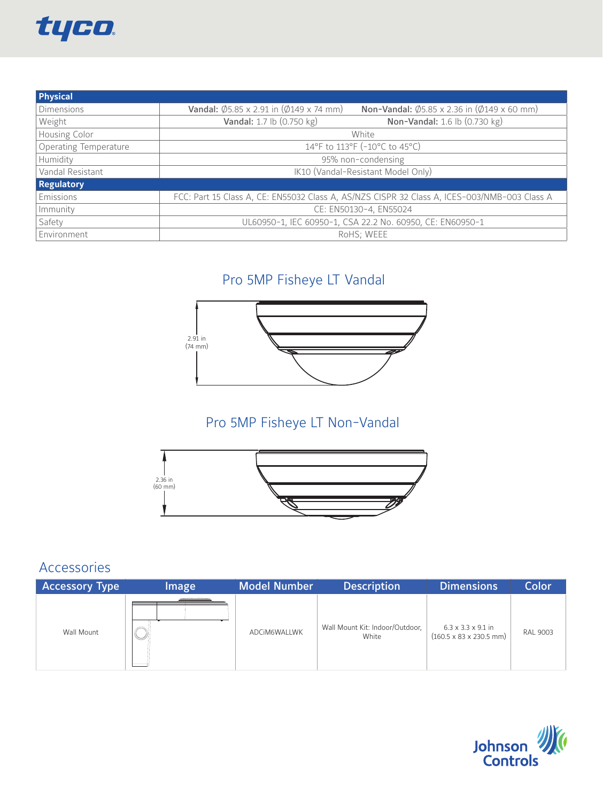

| Physical                     |                                                                                              |                                                                         |  |
|------------------------------|----------------------------------------------------------------------------------------------|-------------------------------------------------------------------------|--|
| <b>Dimensions</b>            | <b>Vandal:</b> $\emptyset$ 5.85 x 2.91 in $(\emptyset$ 149 x 74 mm)                          | <b>Non-Vandal:</b> $\emptyset$ 5.85 x 2.36 in $(\emptyset$ 149 x 60 mm) |  |
| Weight                       | Vandal: 1.7 lb (0.750 kg)                                                                    | Non-Vandal: 1.6 lb (0.730 kg)                                           |  |
| Housing Color                | White                                                                                        |                                                                         |  |
| <b>Operating Temperature</b> | 14°F to 113°F (-10°C to 45°C)                                                                |                                                                         |  |
| <b>Humidity</b>              | 95% non-condensing                                                                           |                                                                         |  |
| Vandal Resistant             | IK10 (Vandal-Resistant Model Only)                                                           |                                                                         |  |
| <b>Regulatory</b>            |                                                                                              |                                                                         |  |
| Emissions                    | FCC: Part 15 Class A, CE: EN55032 Class A, AS/NZS CISPR 32 Class A, ICES-003/NMB-003 Class A |                                                                         |  |
| Immunity                     | CE: EN50130-4, EN55024                                                                       |                                                                         |  |
| Safety                       | UL60950-1, IEC 60950-1, CSA 22.2 No. 60950, CE: EN60950-1                                    |                                                                         |  |
| Environment                  | RoHS; WEEE                                                                                   |                                                                         |  |

## Pro 5MP Fisheye LT Vandal



## Pro 5MP Fisheye LT Non-Vandal



## Accessories

| <b>Accessory Type</b> | Image | Model Number | <b>Description</b>                       | Dimensions                                                                    | <b>Color</b> |
|-----------------------|-------|--------------|------------------------------------------|-------------------------------------------------------------------------------|--------------|
| Wall Mount            | V     | ADCIM6WALLWK | Wall Mount Kit: Indoor/Outdoor,<br>White | $6.3 \times 3.3 \times 9.1$ in<br>$(160.5 \times 83 \times 230.5 \text{ mm})$ | RAL 9003     |